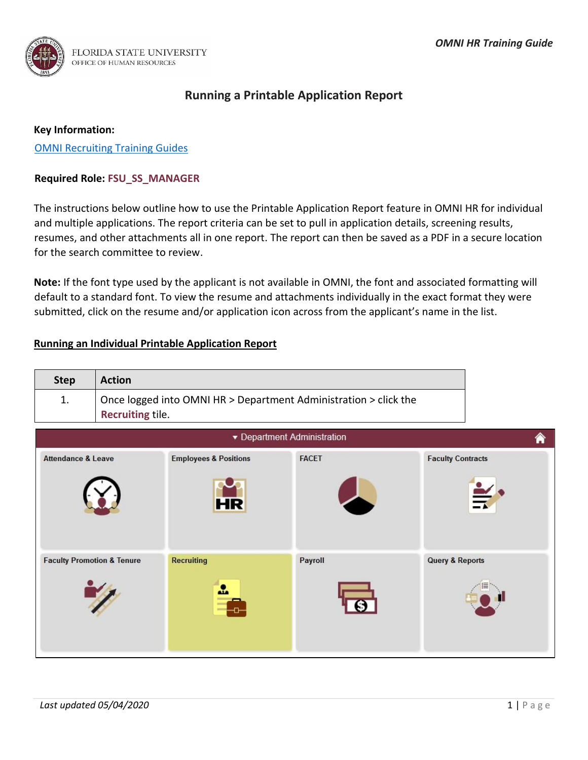

# **Running a Printable Application Report**

### **Key Information:**

[OMNI Recruiting Training Guides](http://hr.fsu.edu/?page=training/training_omni)

# **Required Role: FSU\_SS\_MANAGER**

The instructions below outline how to use the Printable Application Report feature in OMNI HR for individual and multiple applications. The report criteria can be set to pull in application details, screening results, resumes, and other attachments all in one report. The report can then be saved as a PDF in a secure location for the search committee to review.

**Note:** If the font type used by the applicant is not available in OMNI, the font and associated formatting will default to a standard font. To view the resume and attachments individually in the exact format they were submitted, click on the resume and/or application icon across from the applicant's name in the list.

# **Running an Individual Printable Application Report**

| <b>Action</b><br><b>Step</b>                                           |
|------------------------------------------------------------------------|
| Once logged into OMNI HR > Department Administration > click the<br>1. |
| <b>Recruiting tile.</b>                                                |

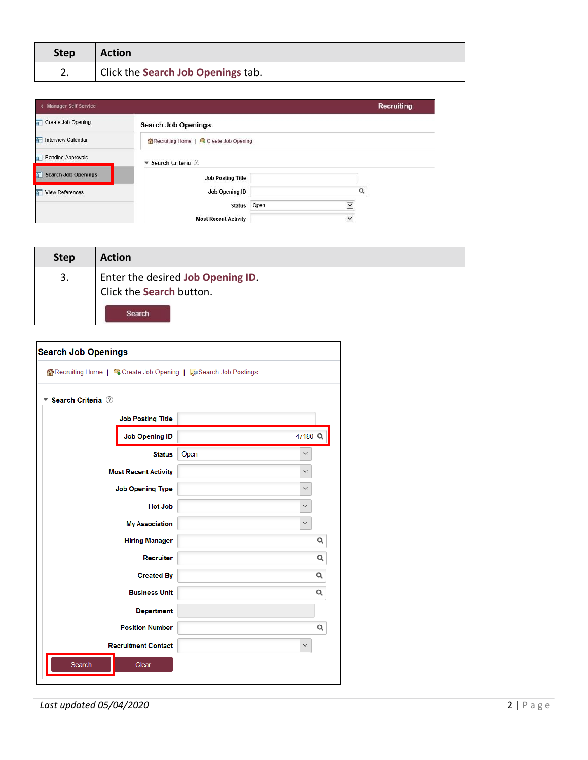| <b>Step</b> | <b>Action</b>                      |
|-------------|------------------------------------|
|             | Click the Search Job Openings tab. |

| < Manager Self Service     |                                        |                      | <b>Recruiting</b> |
|----------------------------|----------------------------------------|----------------------|-------------------|
| Create Job Opening         | <b>Search Job Openings</b>             |                      |                   |
| Interview Calendar         | Recruiting Home   S Create Job Opening |                      |                   |
| Pending Approvals          | ▼ Search Criteria ②                    |                      |                   |
| <b>Search Job Openings</b> | <b>Job Posting Title</b>               |                      |                   |
| View References            | Job Opening ID                         | Q                    |                   |
|                            | <b>Status</b>                          | Open<br>$\checkmark$ |                   |
|                            | <b>Most Recent Activity</b>            | $\vee$               |                   |

| <b>Step</b> | <b>Action</b>                                                 |
|-------------|---------------------------------------------------------------|
| 3.          | Enter the desired Job Opening ID.<br>Click the Search button. |
|             | Search                                                        |

| Search Criteria 2           |                      |   |
|-----------------------------|----------------------|---|
|                             |                      |   |
| <b>Job Posting Title</b>    |                      |   |
| <b>Job Opening ID</b>       | 47180 <sup>Q</sup>   |   |
| <b>Status</b>               | Open<br>$\checkmark$ |   |
| <b>Most Recent Activity</b> | $\checkmark$         |   |
| <b>Job Opening Type</b>     | $\checkmark$         |   |
| <b>Hot Job</b>              | $\checkmark$         |   |
| <b>My Association</b>       | $\checkmark$         |   |
| <b>Hiring Manager</b>       |                      | Q |
| <b>Recruiter</b>            |                      | Q |
| <b>Created By</b>           |                      | Q |
| <b>Business Unit</b>        |                      | Q |
| <b>Department</b>           |                      |   |
| <b>Position Number</b>      |                      | Q |
| <b>Recruitment Contact</b>  | $\checkmark$         |   |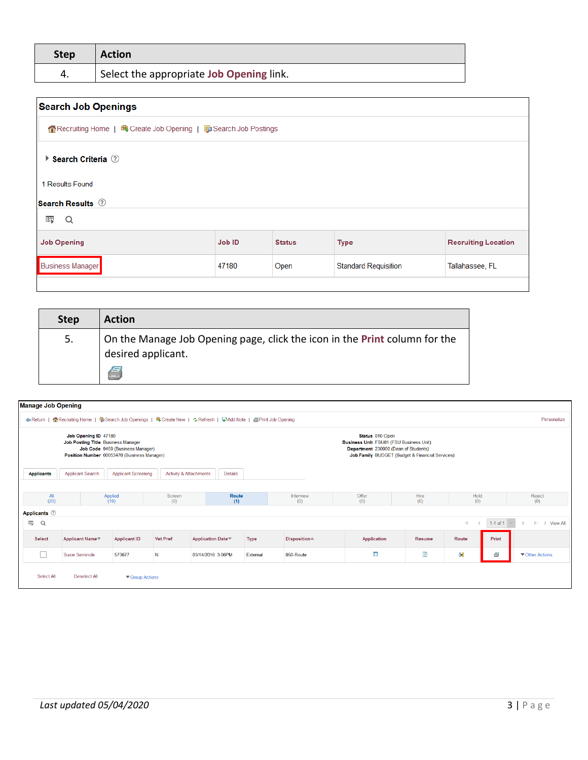| <b>Step</b> | <b>Action</b>                            |
|-------------|------------------------------------------|
| 4.          | Select the appropriate Job Opening link. |

| <b>Search Job Openings</b>                 |                                                                       |               |                             |                            |  |  |
|--------------------------------------------|-----------------------------------------------------------------------|---------------|-----------------------------|----------------------------|--|--|
|                                            | 企 Recruiting Home   电 Create Job Opening   https: Search Job Postings |               |                             |                            |  |  |
| $\triangleright$ Search Criteria $\oslash$ |                                                                       |               |                             |                            |  |  |
| 1 Results Found                            |                                                                       |               |                             |                            |  |  |
| <b>Search Results</b> 2                    |                                                                       |               |                             |                            |  |  |
| 罫<br>Q                                     |                                                                       |               |                             |                            |  |  |
| <b>Job Opening</b>                         | Job ID                                                                | <b>Status</b> | <b>Type</b>                 | <b>Recruiting Location</b> |  |  |
| <b>Business Manager</b>                    | 47180                                                                 | Open          | <b>Standard Requisition</b> | Tallahassee, FL            |  |  |
|                                            |                                                                       |               |                             |                            |  |  |

| <b>Step</b> | <b>Action</b>                                                                                         |
|-------------|-------------------------------------------------------------------------------------------------------|
| 5.          | On the Manage Job Opening page, click the icon in the Print column for the<br>desired applicant.<br>e |

| <b>Manage Job Opening</b>                                                                                                                     |                             |                            |                                   |                                                                                                                    |                                                                                                    |                                                 |              |             |              |                 |                 |
|-----------------------------------------------------------------------------------------------------------------------------------------------|-----------------------------|----------------------------|-----------------------------------|--------------------------------------------------------------------------------------------------------------------|----------------------------------------------------------------------------------------------------|-------------------------------------------------|--------------|-------------|--------------|-----------------|-----------------|
| <b>Return</b>                                                                                                                                 |                             |                            |                                   | ARecruiting Home   Search Job Openings   Search Bookings   Create New   ¢ Refresh   FAdd Note   APrint Job Opening |                                                                                                    |                                                 |              |             |              |                 | Personalize     |
| Job Opening ID 47180<br>Job Posting Title Business Manager<br>Job Code 9459 (Business Manager)<br>Position Number 00053470 (Business Manager) |                             |                            |                                   |                                                                                                                    | Status 010 Open<br>Business Unit FSU01 (FSU Business Unit)<br>Department 230000 (Dean of Students) | Job Family BUDGET (Budget & Financial Services) |              |             |              |                 |                 |
| <b>Applicants</b>                                                                                                                             | <b>Applicant Search</b>     | <b>Applicant Screening</b> | <b>Activity &amp; Attachments</b> | Details                                                                                                            |                                                                                                    |                                                 |              |             |              |                 |                 |
| All<br>(20)                                                                                                                                   |                             | Applied<br>(19)            | Screen<br>(0)                     | Route<br>(1)                                                                                                       |                                                                                                    | Interview<br>(0)                                | Offer<br>(0) | Hire<br>(0) | Hold<br>(0)  |                 | Reject<br>(0)   |
| Applicants <sup>7</sup>                                                                                                                       |                             |                            |                                   |                                                                                                                    |                                                                                                    |                                                 |              |             |              |                 |                 |
| 国<br>Q                                                                                                                                        |                             |                            |                                   |                                                                                                                    |                                                                                                    |                                                 |              |             | $\mathbb{R}$ | 1-1 of 1 $\sim$ | <b>View All</b> |
| Select                                                                                                                                        | Applicant Name <sup>-</sup> | <b>Applicant ID</b>        | <b>Vet Pref</b>                   | Application Date <sup>₹</sup>                                                                                      | <b>Type</b>                                                                                        | Disposition≜                                    | Application  | Resume      | Route        | Print           |                 |
| Г                                                                                                                                             | Susie Seminole              | 573677                     | N                                 | 03/14/2016 3:06PM                                                                                                  | External                                                                                           | 050-Route                                       | Îн.          | B           | 88           | 8               | ▼ Other Actions |
| Select All                                                                                                                                    | Deselect All                | ▼ Group Actions            |                                   |                                                                                                                    |                                                                                                    |                                                 |              |             |              |                 |                 |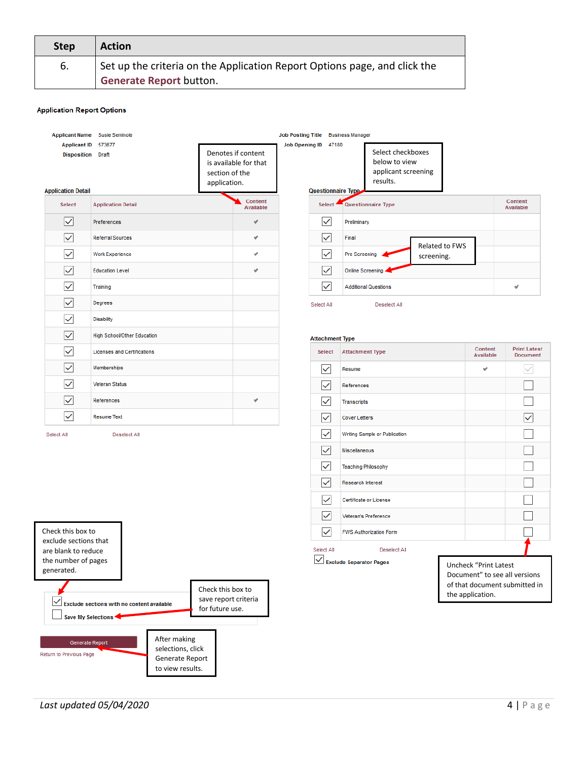| Step | <b>Action</b>                                                                                               |
|------|-------------------------------------------------------------------------------------------------------------|
| 6.   | Set up the criteria on the Application Report Options page, and click the<br><b>Generate Report button.</b> |

#### **Application Report Options**

|                                                                              | Applicant Name Susie Seminole              |                                                                               | Job Posting Title Business Manager |                                    |                                                                       |                                                                                                             |                                 |
|------------------------------------------------------------------------------|--------------------------------------------|-------------------------------------------------------------------------------|------------------------------------|------------------------------------|-----------------------------------------------------------------------|-------------------------------------------------------------------------------------------------------------|---------------------------------|
| <b>Applicant ID</b><br><b>Disposition</b> Draft<br><b>Application Detail</b> | 573677                                     | Denotes if content<br>is available for that<br>section of the<br>application. | <b>Job Opening ID</b>              | 47180<br><b>Questionnaire Type</b> | Select checkboxes<br>below to view<br>applicant screening<br>results. |                                                                                                             |                                 |
| <b>Select</b>                                                                | <b>Application Detail</b>                  | Content<br>Available                                                          | Select <sup>*</sup>                |                                    | Questionnaire Type                                                    |                                                                                                             | Content<br>Available            |
| $\checkmark$                                                                 | Preferences                                | v                                                                             | $\checkmark$                       | Preliminary                        |                                                                       |                                                                                                             |                                 |
| $\checkmark$                                                                 | <b>Referral Sources</b>                    | v                                                                             | $\checkmark$                       | Final                              | Related to FWS                                                        |                                                                                                             |                                 |
|                                                                              | Work Experience                            | v                                                                             | $\checkmark$                       | Pre Screening                      | screening.                                                            |                                                                                                             |                                 |
|                                                                              | <b>Education Level</b>                     | ر                                                                             | $\checkmark$                       | <b>Online Screening</b>            |                                                                       |                                                                                                             |                                 |
|                                                                              | Training                                   |                                                                               | $\checkmark$                       |                                    | <b>Additional Questions</b>                                           |                                                                                                             | $\checkmark$                    |
|                                                                              | Degrees                                    |                                                                               | Select All                         |                                    | Deselect All                                                          |                                                                                                             |                                 |
| ✓                                                                            | <b>Disability</b>                          |                                                                               |                                    |                                    |                                                                       |                                                                                                             |                                 |
| $\checkmark$                                                                 | <b>High School/Other Education</b>         |                                                                               | <b>Attachment Type</b>             |                                    |                                                                       |                                                                                                             |                                 |
| ✓                                                                            | <b>Licenses and Certifications</b>         |                                                                               | Select                             | <b>Attachment Type</b>             |                                                                       | Content<br>Available                                                                                        | <b>Print Latest</b><br>Document |
| ✓                                                                            | Memberships                                |                                                                               | ∨                                  | Resume                             |                                                                       | ں                                                                                                           |                                 |
|                                                                              | <b>Veteran Status</b>                      |                                                                               | $\checkmark$                       | References                         |                                                                       |                                                                                                             |                                 |
|                                                                              | References                                 | s                                                                             | $\checkmark$                       | <b>Transcripts</b>                 |                                                                       |                                                                                                             |                                 |
| $\checkmark$                                                                 | <b>Resume Text</b>                         |                                                                               | $\checkmark$                       | <b>Cover Letters</b>               |                                                                       |                                                                                                             |                                 |
| Select All                                                                   | <b>Deselect All</b>                        |                                                                               | $\checkmark$                       |                                    | Writing Sample or Publication                                         |                                                                                                             |                                 |
|                                                                              |                                            |                                                                               | $\checkmark$                       | Miscellaneous                      |                                                                       |                                                                                                             |                                 |
|                                                                              |                                            |                                                                               | $\checkmark$                       | <b>Teaching Philosophy</b>         |                                                                       |                                                                                                             |                                 |
|                                                                              |                                            |                                                                               | $\checkmark$                       | <b>Research Interest</b>           |                                                                       |                                                                                                             |                                 |
|                                                                              |                                            |                                                                               | $\checkmark$                       |                                    | Certificate or License                                                |                                                                                                             |                                 |
|                                                                              |                                            |                                                                               | $\checkmark$                       |                                    | Veteran's Preference                                                  |                                                                                                             |                                 |
| Check this box to                                                            |                                            |                                                                               | $\checkmark$                       |                                    | <b>FWS Authorization Form</b>                                         |                                                                                                             |                                 |
| exclude sections that<br>are blank to reduce                                 |                                            |                                                                               | Select All                         |                                    | Deselect All                                                          |                                                                                                             |                                 |
| the number of pages<br>generated.<br>$\checkmark$                            | Exclude sections with no content available | Check this box to<br>save report criteria                                     |                                    | $\vee$ Exclude Separator Pages     |                                                                       | Uncheck "Print Latest<br>Document" to see all versions<br>of that document submitted in<br>the application. |                                 |
|                                                                              | Save My Selections                         | for future use.                                                               |                                    |                                    |                                                                       |                                                                                                             |                                 |

*Last updated 05/04/2020* 4 | P a g e

Generate Report

Return to Previous Page

After making selections, click Generate Report to view results.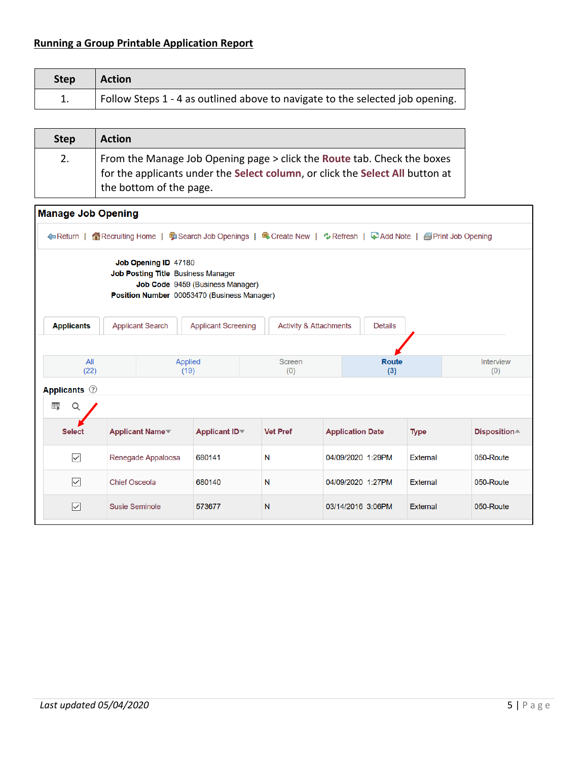# **Running a Group Printable Application Report**

| <b>Step</b> | <b>Action</b>                                                                 |
|-------------|-------------------------------------------------------------------------------|
|             | Follow Steps 1 - 4 as outlined above to navigate to the selected job opening. |

| <b>Step</b> | <b>Action</b>                                                                                                                                                                       |
|-------------|-------------------------------------------------------------------------------------------------------------------------------------------------------------------------------------|
| 2.          | From the Manage Job Opening page > click the Route tab. Check the boxes<br>for the applicants under the Select column, or click the Select All button at<br>the bottom of the page. |

| <b>Manage Job Opening</b> |                       |                                                                                                                                               |                                        |                                                                                                                    |                         |                 |                         |
|---------------------------|-----------------------|-----------------------------------------------------------------------------------------------------------------------------------------------|----------------------------------------|--------------------------------------------------------------------------------------------------------------------|-------------------------|-----------------|-------------------------|
|                           |                       |                                                                                                                                               |                                        | ← Return   个 Recruiting Home   う Search Job Openings   鸟 Create New   ☆ Refresh   ♀ Add Note   ● Print Job Opening |                         |                 |                         |
|                           |                       | Job Opening ID 47180<br>Job Posting Title Business Manager<br>Job Code 9459 (Business Manager)<br>Position Number 00053470 (Business Manager) |                                        |                                                                                                                    |                         |                 |                         |
| <b>Applicants</b>         |                       | <b>Applicant Search</b>                                                                                                                       | <b>Applicant Screening</b>             | <b>Activity &amp; Attachments</b>                                                                                  | <b>Details</b>          |                 |                         |
|                           |                       |                                                                                                                                               |                                        |                                                                                                                    |                         |                 |                         |
| All<br>(22)               |                       | <b>Applied</b><br>(19)                                                                                                                        |                                        | <b>Screen</b><br>(0)                                                                                               | <b>Route</b><br>(3)     |                 | <b>Interview</b><br>(0) |
| <b>Applicants</b> ②       |                       |                                                                                                                                               |                                        |                                                                                                                    |                         |                 |                         |
| 雷<br>Q                    |                       |                                                                                                                                               |                                        |                                                                                                                    |                         |                 |                         |
| <b>Select</b>             |                       | <b>Applicant Name</b>                                                                                                                         | Applicant ID <sup><math>τ</math></sup> | <b>Vet Pref</b>                                                                                                    | <b>Application Date</b> | <b>Type</b>     | Disposition≜            |
| $\overline{\vee}$         |                       | Renegade Appaloosa                                                                                                                            | 680141                                 | N                                                                                                                  | 04/09/2020 1:29PM       | <b>External</b> | 050-Route               |
| $\overline{\vee}$         | <b>Chief Osceola</b>  |                                                                                                                                               | 680140                                 | N                                                                                                                  | 04/09/2020 1:27PM       | External        | 050-Route               |
| $\overline{\smile}$       | <b>Susie Seminole</b> |                                                                                                                                               | 573677                                 | N                                                                                                                  | 03/14/2016 3:06PM       | External        | 050-Route               |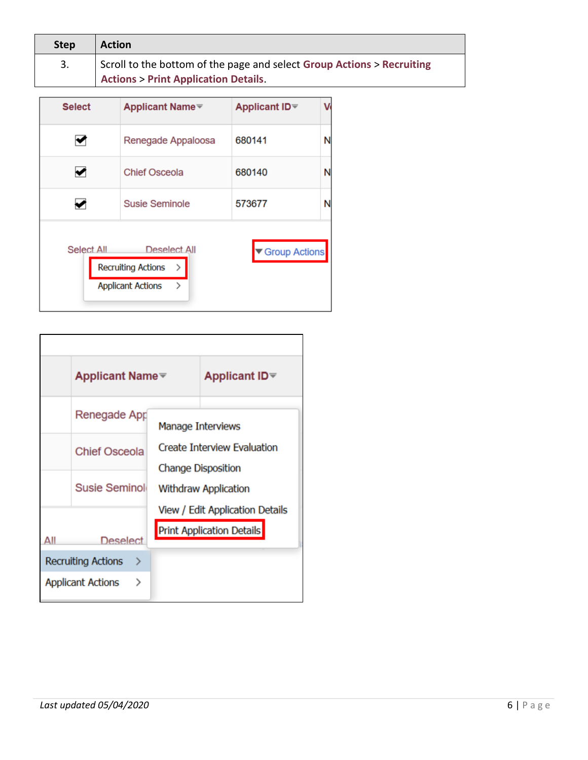| <b>Step</b> | <b>Action</b>                                                          |
|-------------|------------------------------------------------------------------------|
| 3.          | Scroll to the bottom of the page and select Group Actions > Recruiting |
|             | <b>Actions &gt; Print Application Details.</b>                         |

| <b>Select</b> | <b>Applicant Name</b> <del>▼</del>                                                          | <b>Applicant ID</b> <sup><math>\mp</math></sup> |   |
|---------------|---------------------------------------------------------------------------------------------|-------------------------------------------------|---|
|               | Renegade Appaloosa                                                                          | 680141                                          |   |
|               | <b>Chief Osceola</b>                                                                        | 680140                                          |   |
|               | <b>Susie Seminole</b>                                                                       | 573677                                          | N |
| Select All    | Deselect All<br><b>Recruiting Actions</b><br>$\rightarrow$<br><b>Applicant Actions</b><br>⋋ | Group Actions                                   |   |

|                                | Applicant Name <sup></sup>    | <b>Applicant ID</b> <sup>₩</sup>                                |  |  |
|--------------------------------|-------------------------------|-----------------------------------------------------------------|--|--|
|                                | Renegade App                  | Manage Interviews                                               |  |  |
|                                | <b>Chief Osceola</b>          | <b>Create Interview Evaluation</b><br><b>Change Disposition</b> |  |  |
|                                | Susie Seminoli                | <b>Withdraw Application</b>                                     |  |  |
|                                |                               | View / Edit Application Details                                 |  |  |
|                                | <b>Deselect</b>               | <b>Print Application Details</b>                                |  |  |
| <b>Recruiting Actions</b><br>→ |                               |                                                                 |  |  |
|                                | <b>Applicant Actions</b><br>⋗ |                                                                 |  |  |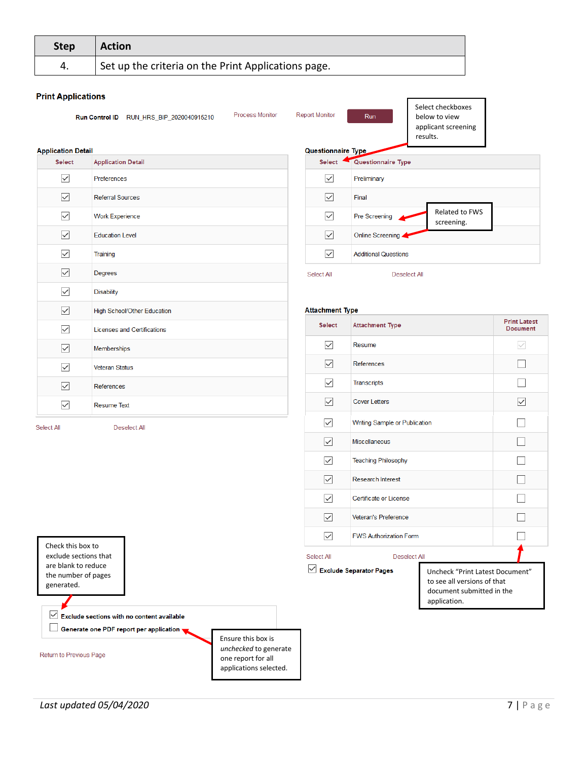| <b>Step</b> | <b>Action</b>                                       |
|-------------|-----------------------------------------------------|
| 4.          | Set up the criteria on the Print Applications page. |

Process Monitor

#### **Print Applications**

Run Control ID RUN\_HRS\_BIP\_2020040915210

**Report Monitor** 

Run

Select checkboxes below to view applicant screening results.

| <b>Application Detail</b> |                                    |
|---------------------------|------------------------------------|
| <b>Select</b>             | <b>Application Detail</b>          |
| $\sim$                    | Preferences                        |
| ⋈                         | <b>Referral Sources</b>            |
| $\backsim$                | <b>Work Experience</b>             |
| $\sim$                    | <b>Education Level</b>             |
| $\checkmark$              | Training                           |
| $\sim$                    | Degrees                            |
| $\checkmark$              | <b>Disability</b>                  |
| $\sim$                    | High School/Other Education        |
| $\backslash$              | <b>Licenses and Certifications</b> |
| $\sim$                    | Memberships                        |
| $\backslash$              | <b>Veteran Status</b>              |
| $\backslash$              | References                         |
| $\checkmark$              | <b>Resume Text</b>                 |
| Select All                | <b>Deselect All</b>                |

|               | <b>Questionnaire Type</b>   |                              |  |  |  |  |
|---------------|-----------------------------|------------------------------|--|--|--|--|
| <b>Select</b> | Questionnaire Type          |                              |  |  |  |  |
|               | Preliminary                 |                              |  |  |  |  |
|               | Final                       |                              |  |  |  |  |
|               | <b>Pre Screening</b>        | Related to FWS<br>screening. |  |  |  |  |
|               | Online Screening.           |                              |  |  |  |  |
|               | <b>Additional Questions</b> |                              |  |  |  |  |
| Select All    | Deselect All                |                              |  |  |  |  |

| <b>Select</b>             | <b>Attachment Type</b>         |                                                                                                             | <b>Print Latest</b><br><b>Document</b> |  |
|---------------------------|--------------------------------|-------------------------------------------------------------------------------------------------------------|----------------------------------------|--|
| $\backsim$                | Resume                         |                                                                                                             |                                        |  |
| $\backsim$                | References                     |                                                                                                             |                                        |  |
| $\backslash$              | <b>Transcripts</b>             |                                                                                                             |                                        |  |
| $\backsim$                | <b>Cover Letters</b>           |                                                                                                             | $\checkmark$                           |  |
| $\mid\!\!\prec\!\!\!\mid$ | Writing Sample or Publication  |                                                                                                             |                                        |  |
| $\backsim$                | <b>Miscellaneous</b>           |                                                                                                             |                                        |  |
| $\mid\!\!\prec\!\!\mid$   | <b>Teaching Philosophy</b>     |                                                                                                             |                                        |  |
| ⋈                         | <b>Research Interest</b>       |                                                                                                             |                                        |  |
| $\backsim$                | Certificate or License         |                                                                                                             |                                        |  |
| $\backsim$                | Veteran's Preference           |                                                                                                             |                                        |  |
| $\backsim$                | <b>FWS Authorization Form</b>  |                                                                                                             |                                        |  |
| Select All                | Deselect All                   |                                                                                                             |                                        |  |
|                           | $\vee$ Exclude Separator Pages | Uncheck "Print Latest Document"<br>to see all versions of that<br>document submitted in the<br>application. |                                        |  |

 $\sqrt{\phantom{a}}$  Exclude sections with no content available Generate one PDF report per application

Return to Previous Page

Check this box to exclude sections that are blank to reduce the number of pages generated.

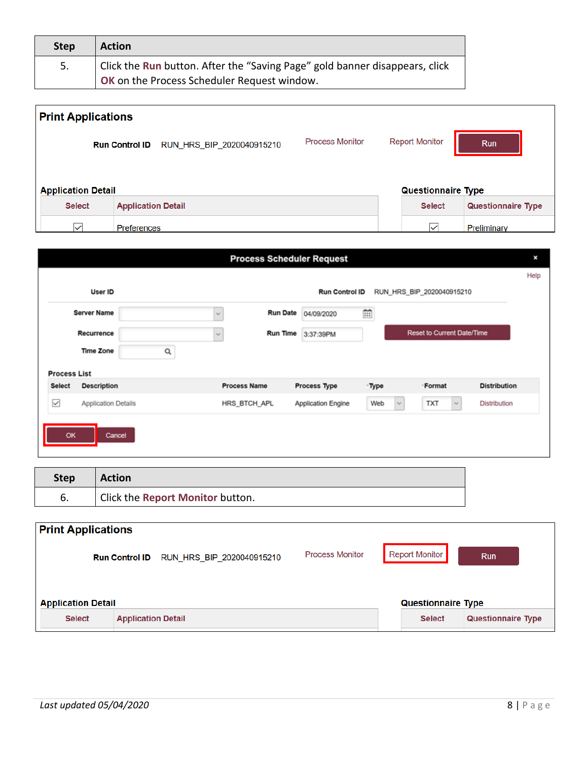| Step | <b>Action</b>                                                               |
|------|-----------------------------------------------------------------------------|
| 5.   | Click the Run button. After the "Saving Page" gold banner disappears, click |
|      | <b>OK</b> on the Process Scheduler Request window.                          |

| <b>Print Applications</b>                  |                                                    |                        |                           |             |
|--------------------------------------------|----------------------------------------------------|------------------------|---------------------------|-------------|
|                                            | RUN_HRS_BIP_2020040915210<br><b>Run Control ID</b> | <b>Process Monitor</b> | <b>Report Monitor</b>     | <b>Run</b>  |
| <b>Application Detail</b>                  |                                                    |                        | <b>Questionnaire Type</b> |             |
| <b>Select</b><br><b>Application Detail</b> |                                                    | <b>Select</b>          | <b>Questionnaire Type</b> |             |
| $\checkmark$                               | <b>Preferences</b>                                 |                        | $\checkmark$              | Preliminary |

|                     |                            |                                 | <b>Process Scheduler Request</b> |                     |                                   |                     | ×    |
|---------------------|----------------------------|---------------------------------|----------------------------------|---------------------|-----------------------------------|---------------------|------|
|                     |                            |                                 |                                  |                     |                                   |                     | Help |
|                     | <b>User ID</b>             |                                 | <b>Run Control ID</b>            |                     | RUN_HRS_BIP_2020040915210         |                     |      |
|                     | <b>Server Name</b>         | <b>Run Date</b><br>$\checkmark$ | 04/09/2020                       | $\mathbb{H}$        |                                   |                     |      |
|                     | <b>Recurrence</b>          | <b>Run Time</b><br>$\checkmark$ | 3:37:39PM                        |                     | <b>Reset to Current Date/Time</b> |                     |      |
|                     | <b>Time Zone</b><br>Q      |                                 |                                  |                     |                                   |                     |      |
| <b>Process List</b> |                            |                                 |                                  |                     |                                   |                     |      |
| <b>Select</b>       | <b>Description</b>         | <b>Process Name</b>             | <b>Process Type</b>              | -Type               | -Format                           | <b>Distribution</b> |      |
| $\overline{\smile}$ | <b>Application Details</b> | HRS_BTCH_APL                    | <b>Application Engine</b>        | Web<br>$\checkmark$ | <b>TXT</b><br>$\checkmark$        | <b>Distribution</b> |      |
| OK<br>Cancel        |                            |                                 |                                  |                     |                                   |                     |      |
|                     |                            |                                 |                                  |                     |                                   |                     |      |
|                     |                            |                                 |                                  |                     |                                   |                     |      |

| <b>Step</b> | <b>Action</b>                    |
|-------------|----------------------------------|
| ხ.          | Click the Report Monitor button. |

| <b>Print Applications</b> |                                                    |                        |                           |                           |
|---------------------------|----------------------------------------------------|------------------------|---------------------------|---------------------------|
|                           | RUN HRS BIP 2020040915210<br><b>Run Control ID</b> | <b>Process Monitor</b> | <b>Report Monitor</b>     | <b>Run</b>                |
| <b>Application Detail</b> |                                                    |                        | <b>Questionnaire Type</b> |                           |
| <b>Select</b>             | <b>Application Detail</b>                          |                        | <b>Select</b>             | <b>Questionnaire Type</b> |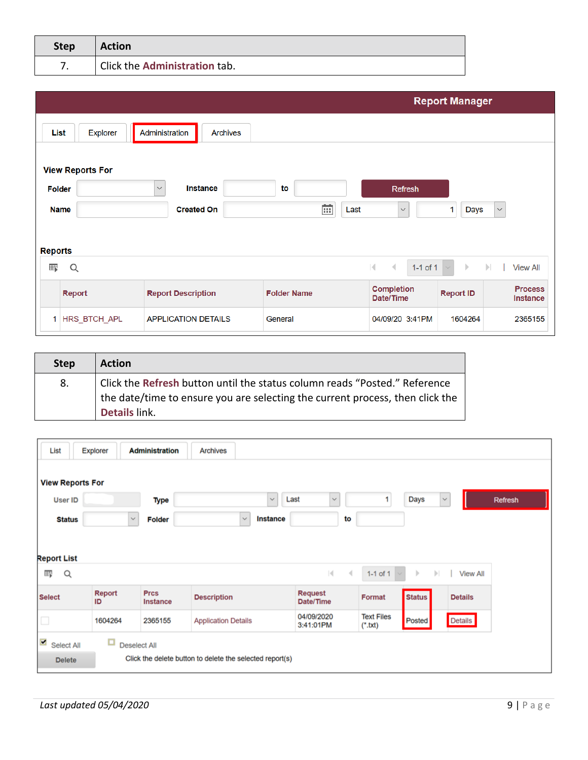| <b>Step</b> | <b>Action</b>                 |
|-------------|-------------------------------|
| –           | Click the Administration tab. |

|                |                         |                                   |                    |                                                                | <b>Report Manager</b>        |                                   |
|----------------|-------------------------|-----------------------------------|--------------------|----------------------------------------------------------------|------------------------------|-----------------------------------|
| List           | <b>Explorer</b>         | Administration<br><b>Archives</b> |                    |                                                                |                              |                                   |
|                | <b>View Reports For</b> |                                   |                    |                                                                |                              |                                   |
| <b>Folder</b>  |                         | <b>Instance</b><br>$\checkmark$   | to                 | <b>Refresh</b>                                                 |                              |                                   |
|                | <b>Name</b>             | <b>Created On</b>                 | 繭<br>Last          | $\checkmark$                                                   | <b>Days</b>                  | $\boldsymbol{\times}$             |
|                |                         |                                   |                    |                                                                |                              |                                   |
| <b>Reports</b> |                         |                                   |                    |                                                                |                              |                                   |
| 羁              | Q                       |                                   |                    | $ \mathbf{q} $<br>$\rightarrow$<br>1-1 of 1 $\vert \vee \vert$ | $\mathbb{R}$<br>$\mathbb{H}$ | <b>View All</b>                   |
|                | Report                  | <b>Report Description</b>         | <b>Folder Name</b> | <b>Completion</b><br>Date/Time                                 | <b>Report ID</b>             | <b>Process</b><br><b>Instance</b> |
|                | 1 HRS_BTCH_APL          | <b>APPLICATION DETAILS</b>        | General            | 04/09/20 3:41PM                                                | 1604264                      | 2365155                           |

| <b>Step</b> | <b>Action</b>                                                                                                                                                                |
|-------------|------------------------------------------------------------------------------------------------------------------------------------------------------------------------------|
| 8.          | Click the Refresh button until the status column reads "Posted." Reference<br>the date/time to ensure you are selecting the current process, then click the<br>Details link. |

| List                        | Explorer            | <b>Administration</b>          | <b>Archives</b>                                          |                                       |                                |               |                                 |         |
|-----------------------------|---------------------|--------------------------------|----------------------------------------------------------|---------------------------------------|--------------------------------|---------------|---------------------------------|---------|
|                             |                     |                                |                                                          |                                       |                                |               |                                 |         |
| <b>View Reports For</b>     |                     |                                |                                                          |                                       |                                |               |                                 |         |
| <b>User ID</b>              |                     | Type                           | $\checkmark$                                             | Last<br>$\checkmark$                  |                                | Days          | $\checkmark$                    | Refresh |
| <b>Status</b>               |                     | $\checkmark$<br><b>Folder</b>  | $\checkmark$<br><b>Instance</b>                          | to                                    |                                |               |                                 |         |
|                             |                     |                                |                                                          |                                       |                                |               |                                 |         |
|                             |                     |                                |                                                          |                                       |                                |               |                                 |         |
| <b>Report List</b>          |                     |                                |                                                          |                                       |                                |               |                                 |         |
| 羁<br>Q                      |                     |                                |                                                          | $\vert \cdot \vert$<br>$\overline{4}$ | $1-1$ of $1$                   | Þ             | $\mathbb{H}$<br><b>View All</b> |         |
| <b>Select</b>               | <b>Report</b><br>ID | <b>Prcs</b><br><b>Instance</b> | <b>Description</b>                                       | <b>Request</b><br>Date/Time           | Format                         | <b>Status</b> | <b>Details</b>                  |         |
| $\Box$                      | 1604264             | 2365155                        | <b>Application Details</b>                               | 04/09/2020<br>3:41:01PM               | <b>Text Files</b><br>$(*.txt)$ | Posted        | Details                         |         |
| $\triangleright$ Select All | $\Box$              | <b>Deselect All</b>            |                                                          |                                       |                                |               |                                 |         |
| <b>Delete</b>               |                     |                                | Click the delete button to delete the selected report(s) |                                       |                                |               |                                 |         |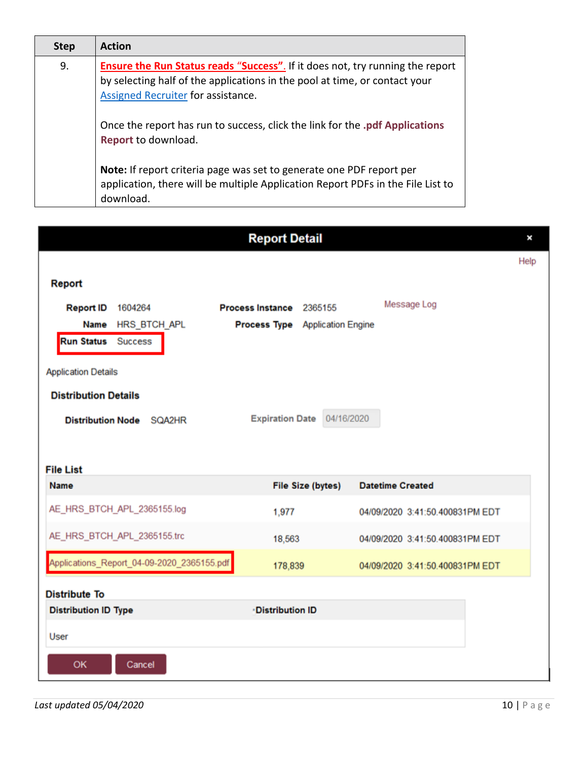| <b>Step</b> | <b>Action</b>                                                                                                                                                                                             |
|-------------|-----------------------------------------------------------------------------------------------------------------------------------------------------------------------------------------------------------|
| 9.          | <b>Ensure the Run Status reads "Success"</b> . If it does not, try running the report<br>by selecting half of the applications in the pool at time, or contact your<br>Assigned Recruiter for assistance. |
|             | Once the report has run to success, click the link for the .pdf Applications<br>Report to download.                                                                                                       |
|             | Note: If report criteria page was set to generate one PDF report per<br>application, there will be multiple Application Report PDFs in the File List to<br>download.                                      |
|             | <b>Detail</b>                                                                                                                                                                                             |

|                             |                                            |                                        |                          |                         |                                 | Help |
|-----------------------------|--------------------------------------------|----------------------------------------|--------------------------|-------------------------|---------------------------------|------|
| Report                      |                                            |                                        |                          |                         |                                 |      |
| <b>Report ID</b>            | 1604264                                    | Process Instance 2365155               |                          | Message Log             |                                 |      |
|                             | Name HRS_BTCH_APL                          | <b>Process Type</b> Application Engine |                          |                         |                                 |      |
| <b>Run Status</b> Success   |                                            |                                        |                          |                         |                                 |      |
| <b>Application Details</b>  |                                            |                                        |                          |                         |                                 |      |
| <b>Distribution Details</b> |                                            |                                        |                          |                         |                                 |      |
| <b>Distribution Node</b>    | SQA2HR                                     | <b>Expiration Date</b>                 | 04/16/2020               |                         |                                 |      |
|                             |                                            |                                        |                          |                         |                                 |      |
| <b>File List</b>            |                                            |                                        |                          |                         |                                 |      |
| <b>Name</b>                 |                                            |                                        | <b>File Size (bytes)</b> | <b>Datetime Created</b> |                                 |      |
|                             | AE_HRS_BTCH_APL_2365155.log                | 1,977                                  |                          |                         | 04/09/2020 3:41:50.400831PM EDT |      |
|                             | AE_HRS_BTCH_APL_2365155.trc                | 18,563                                 |                          |                         | 04/09/2020 3:41:50.400831PM EDT |      |
|                             | Applications_Report_04-09-2020_2365155.pdf | 178,839                                |                          |                         | 04/09/2020 3:41:50.400831PM EDT |      |
| <b>Distribute To</b>        |                                            |                                        |                          |                         |                                 |      |
| <b>Distribution ID Type</b> |                                            | <b>Distribution ID</b>                 |                          |                         |                                 |      |
| User                        |                                            |                                        |                          |                         |                                 |      |
| <b>OK</b>                   | Cancel                                     |                                        |                          |                         |                                 |      |